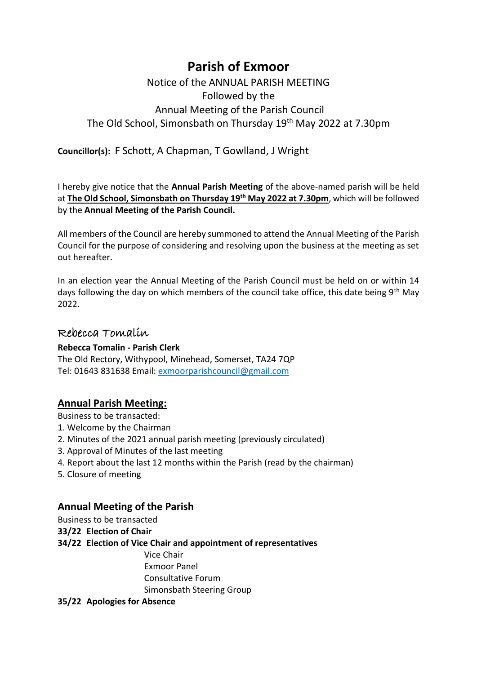# **Parish of Exmoor**

# Notice of the ANNUAL PARISH MEETING Followed by the Annual Meeting of the Parish Council The Old School, Simonsbath on Thursday 19th May 2022 at 7.30pm

**Councillor(s):** F Schott, A Chapman, T Gowlland, J Wright

I hereby give notice that the **Annual Parish Meeting** of the above-named parish will be held at **The Old School, Simonsbath on Thursday 19th May 2022 at 7.30pm**, which will be followed by the **Annual Meeting of the Parish Council.**

All members of the Council are hereby summoned to attend the Annual Meeting of the Parish Council for the purpose of considering and resolving upon the business at the meeting as set out hereafter.

In an election year the Annual Meeting of the Parish Council must be held on or within 14 days following the day on which members of the council take office, this date being  $9<sup>th</sup>$  May 2022.

# Rebecca Tomalin

#### **Rebecca Tomalin - Parish Clerk**

The Old Rectory, Withypool, Minehead, Somerset, TA24 7QP Tel: 01643 831638 Email: [exmoorparishcouncil@gmail.com](mailto:exmoorparishcouncil@gmail.com)

## **Annual Parish Meeting:**

Business to be transacted:

- 1. Welcome by the Chairman
- 2. Minutes of the 2021 annual parish meeting (previously circulated)
- 3. Approval of Minutes of the last meeting
- 4. Report about the last 12 months within the Parish (read by the chairman)
- 5. Closure of meeting

## **Annual Meeting of the Parish**

Business to be transacted **33/22 Election of Chair 34/22 Election of Vice Chair and appointment of representatives** Vice Chair Exmoor Panel Consultative Forum Simonsbath Steering Group **35/22 Apologies for Absence**